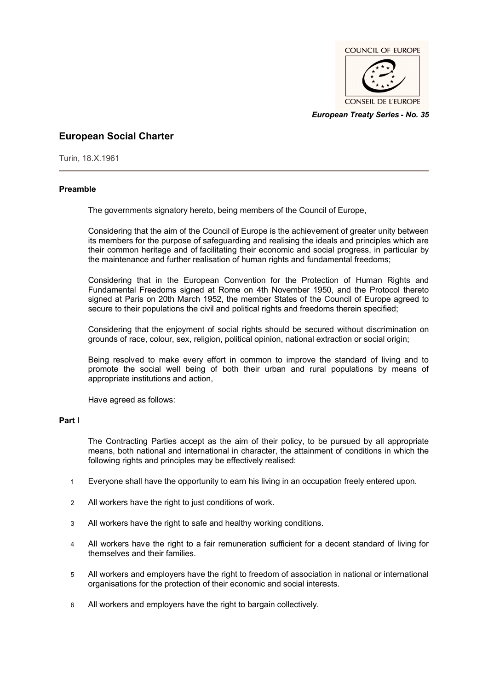

*European Treaty Series* **-** *No. 35*

# **European Social Charter**

Turin, 18.X.1961

## **Preamble**

The governments signatory hereto, being members of the Council of Europe,

Considering that the aim of the Council of Europe is the achievement of greater unity between its members for the purpose of safeguarding and realising the ideals and principles which are their common heritage and of facilitating their economic and social progress, in particular by the maintenance and further realisation of human rights and fundamental freedoms;

Considering that in the European Convention for the Protection of Human Rights and Fundamental Freedoms signed at Rome on 4th November 1950, and the Protocol thereto signed at Paris on 20th March 1952, the member States of the Council of Europe agreed to secure to their populations the civil and political rights and freedoms therein specified;

Considering that the enjoyment of social rights should be secured without discrimination on grounds of race, colour, sex, religion, political opinion, national extraction or social origin;

Being resolved to make every effort in common to improve the standard of living and to promote the social well being of both their urban and rural populations by means of appropriate institutions and action,

Have agreed as follows:

## **Part** I

The Contracting Parties accept as the aim of their policy, to be pursued by all appropriate means, both national and international in character, the attainment of conditions in which the following rights and principles may be effectively realised:

- 1 Everyone shall have the opportunity to earn his living in an occupation freely entered upon.
- 2 All workers have the right to just conditions of work.
- 3 All workers have the right to safe and healthy working conditions.
- 4 All workers have the right to a fair remuneration sufficient for a decent standard of living for themselves and their families.
- 5 All workers and employers have the right to freedom of association in national or international organisations for the protection of their economic and social interests.
- 6 All workers and employers have the right to bargain collectively.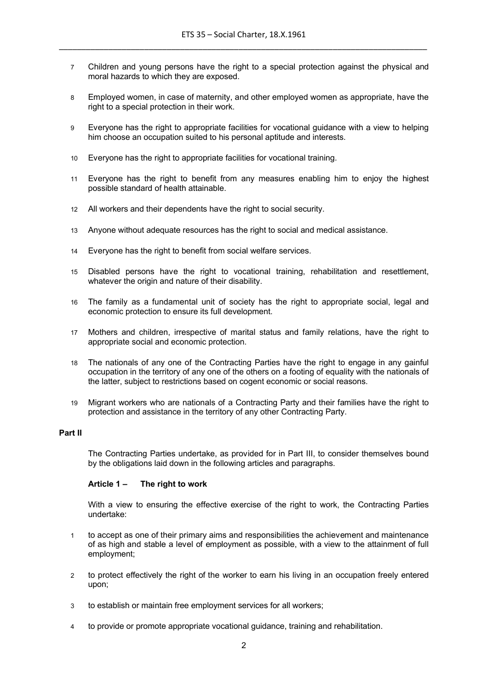- 7 Children and young persons have the right to a special protection against the physical and moral hazards to which they are exposed.
- 8 Employed women, in case of maternity, and other employed women as appropriate, have the right to a special protection in their work.
- 9 Everyone has the right to appropriate facilities for vocational guidance with a view to helping him choose an occupation suited to his personal aptitude and interests.
- 10 Everyone has the right to appropriate facilities for vocational training.
- 11 Everyone has the right to benefit from any measures enabling him to enjoy the highest possible standard of health attainable.
- 12 All workers and their dependents have the right to social security.
- 13 Anyone without adequate resources has the right to social and medical assistance.
- 14 Everyone has the right to benefit from social welfare services.
- 15 Disabled persons have the right to vocational training, rehabilitation and resettlement, whatever the origin and nature of their disability.
- 16 The family as a fundamental unit of society has the right to appropriate social, legal and economic protection to ensure its full development.
- 17 Mothers and children, irrespective of marital status and family relations, have the right to appropriate social and economic protection.
- 18 The nationals of any one of the Contracting Parties have the right to engage in any gainful occupation in the territory of any one of the others on a footing of equality with the nationals of the latter, subject to restrictions based on cogent economic or social reasons.
- 19 Migrant workers who are nationals of a Contracting Party and their families have the right to protection and assistance in the territory of any other Contracting Party.

#### **Part II**

The Contracting Parties undertake, as provided for in Part III, to consider themselves bound by the obligations laid down in the following articles and paragraphs.

## **Article 1 – The right to work**

With a view to ensuring the effective exercise of the right to work, the Contracting Parties undertake:

- 1 to accept as one of their primary aims and responsibilities the achievement and maintenance of as high and stable a level of employment as possible, with a view to the attainment of full employment;
- 2 to protect effectively the right of the worker to earn his living in an occupation freely entered upon;
- 3 to establish or maintain free employment services for all workers;
- 4 to provide or promote appropriate vocational guidance, training and rehabilitation.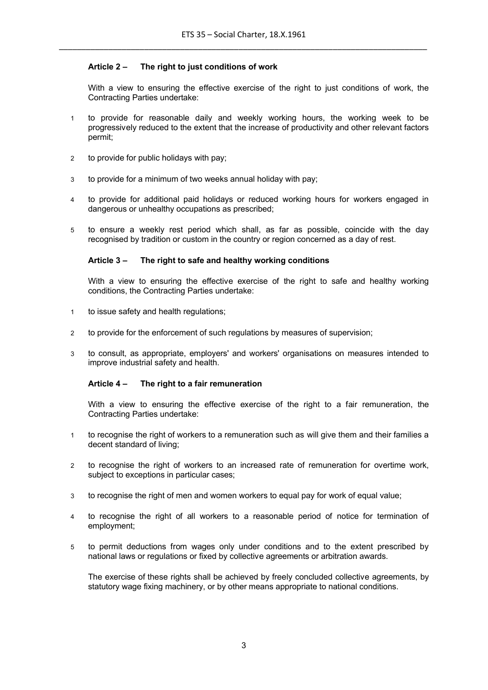## **Article 2 – The right to just conditions of work**

With a view to ensuring the effective exercise of the right to just conditions of work, the Contracting Parties undertake:

- 1 to provide for reasonable daily and weekly working hours, the working week to be progressively reduced to the extent that the increase of productivity and other relevant factors permit;
- 2 to provide for public holidays with pay;
- 3 to provide for a minimum of two weeks annual holiday with pay;
- 4 to provide for additional paid holidays or reduced working hours for workers engaged in dangerous or unhealthy occupations as prescribed;
- 5 to ensure a weekly rest period which shall, as far as possible, coincide with the day recognised by tradition or custom in the country or region concerned as a day of rest.

## **Article 3 – The right to safe and healthy working conditions**

With a view to ensuring the effective exercise of the right to safe and healthy working conditions, the Contracting Parties undertake:

- 1 to issue safety and health regulations;
- 2 to provide for the enforcement of such regulations by measures of supervision;
- 3 to consult, as appropriate, employers' and workers' organisations on measures intended to improve industrial safety and health.

## **Article 4 – The right to a fair remuneration**

With a view to ensuring the effective exercise of the right to a fair remuneration, the Contracting Parties undertake:

- 1 to recognise the right of workers to a remuneration such as will give them and their families a decent standard of living;
- 2 to recognise the right of workers to an increased rate of remuneration for overtime work, subject to exceptions in particular cases;
- 3 to recognise the right of men and women workers to equal pay for work of equal value;
- 4 to recognise the right of all workers to a reasonable period of notice for termination of employment;
- 5 to permit deductions from wages only under conditions and to the extent prescribed by national laws or regulations or fixed by collective agreements or arbitration awards.

The exercise of these rights shall be achieved by freely concluded collective agreements, by statutory wage fixing machinery, or by other means appropriate to national conditions.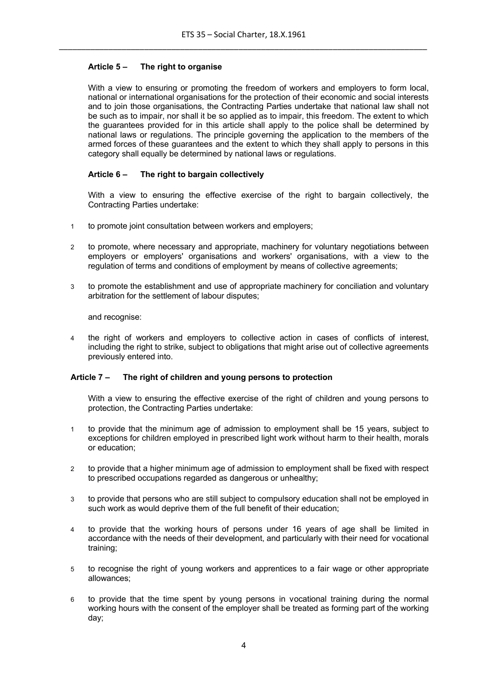## **Article 5 – The right to organise**

With a view to ensuring or promoting the freedom of workers and employers to form local, national or international organisations for the protection of their economic and social interests and to join those organisations, the Contracting Parties undertake that national law shall not be such as to impair, nor shall it be so applied as to impair, this freedom. The extent to which the guarantees provided for in this article shall apply to the police shall be determined by national laws or regulations. The principle governing the application to the members of the armed forces of these guarantees and the extent to which they shall apply to persons in this category shall equally be determined by national laws or regulations.

### **Article 6 – The right to bargain collectively**

With a view to ensuring the effective exercise of the right to bargain collectively, the Contracting Parties undertake:

- 1 to promote joint consultation between workers and employers;
- 2 to promote, where necessary and appropriate, machinery for voluntary negotiations between employers or employers' organisations and workers' organisations, with a view to the regulation of terms and conditions of employment by means of collective agreements;
- 3 to promote the establishment and use of appropriate machinery for conciliation and voluntary arbitration for the settlement of labour disputes;

and recognise:

4 the right of workers and employers to collective action in cases of conflicts of interest, including the right to strike, subject to obligations that might arise out of collective agreements previously entered into.

#### **Article 7 – The right of children and young persons to protection**

With a view to ensuring the effective exercise of the right of children and young persons to protection, the Contracting Parties undertake:

- 1 to provide that the minimum age of admission to employment shall be 15 years, subject to exceptions for children employed in prescribed light work without harm to their health, morals or education;
- 2 to provide that a higher minimum age of admission to employment shall be fixed with respect to prescribed occupations regarded as dangerous or unhealthy;
- 3 to provide that persons who are still subject to compulsory education shall not be employed in such work as would deprive them of the full benefit of their education;
- 4 to provide that the working hours of persons under 16 years of age shall be limited in accordance with the needs of their development, and particularly with their need for vocational training;
- 5 to recognise the right of young workers and apprentices to a fair wage or other appropriate allowances;
- 6 to provide that the time spent by young persons in vocational training during the normal working hours with the consent of the employer shall be treated as forming part of the working day;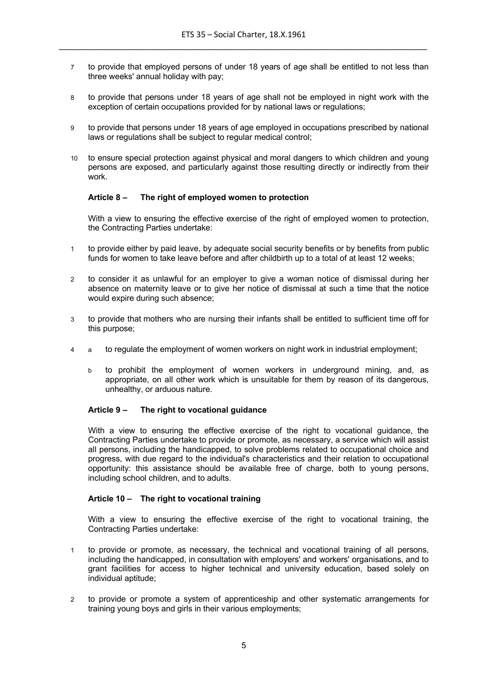- 7 to provide that employed persons of under 18 years of age shall be entitled to not less than three weeks' annual holiday with pay;
- 8 to provide that persons under 18 years of age shall not be employed in night work with the exception of certain occupations provided for by national laws or regulations;
- 9 to provide that persons under 18 years of age employed in occupations prescribed by national laws or regulations shall be subject to regular medical control;
- 10 to ensure special protection against physical and moral dangers to which children and young persons are exposed, and particularly against those resulting directly or indirectly from their work.

# **Article 8 – The right of employed women to protection**

With a view to ensuring the effective exercise of the right of employed women to protection, the Contracting Parties undertake:

- 1 to provide either by paid leave, by adequate social security benefits or by benefits from public funds for women to take leave before and after childbirth up to a total of at least 12 weeks;
- 2 to consider it as unlawful for an employer to give a woman notice of dismissal during her absence on maternity leave or to give her notice of dismissal at such a time that the notice would expire during such absence;
- 3 to provide that mothers who are nursing their infants shall be entitled to sufficient time off for this purpose;
- 4 a to regulate the employment of women workers on night work in industrial employment;
	- b to prohibit the employment of women workers in underground mining, and, as appropriate, on all other work which is unsuitable for them by reason of its dangerous, unhealthy, or arduous nature.

## **Article 9 – The right to vocational guidance**

With a view to ensuring the effective exercise of the right to vocational guidance, the Contracting Parties undertake to provide or promote, as necessary, a service which will assist all persons, including the handicapped, to solve problems related to occupational choice and progress, with due regard to the individual's characteristics and their relation to occupational opportunity: this assistance should be available free of charge, both to young persons, including school children, and to adults.

## **Article 10 – The right to vocational training**

With a view to ensuring the effective exercise of the right to vocational training, the Contracting Parties undertake:

- 1 to provide or promote, as necessary, the technical and vocational training of all persons, including the handicapped, in consultation with employers' and workers' organisations, and to grant facilities for access to higher technical and university education, based solely on individual aptitude;
- 2 to provide or promote a system of apprenticeship and other systematic arrangements for training young boys and girls in their various employments;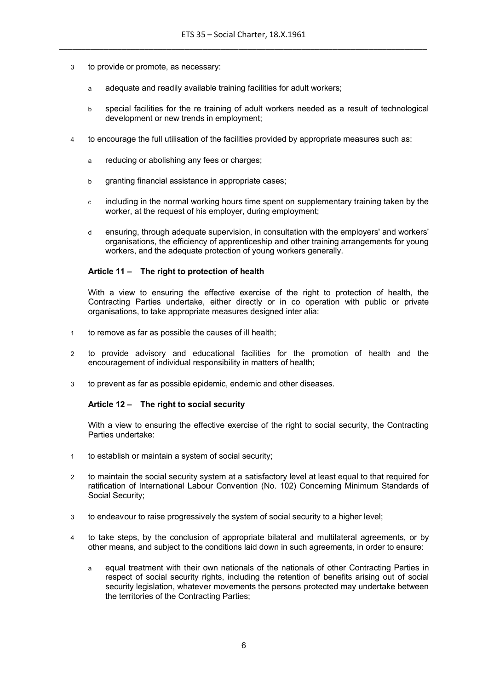- 3 to provide or promote, as necessary:
	- a adequate and readily available training facilities for adult workers;
	- b special facilities for the re training of adult workers needed as a result of technological development or new trends in employment;
- 4 to encourage the full utilisation of the facilities provided by appropriate measures such as:
	- a reducing or abolishing any fees or charges;
	- b granting financial assistance in appropriate cases;
	- c including in the normal working hours time spent on supplementary training taken by the worker, at the request of his employer, during employment;
	- d ensuring, through adequate supervision, in consultation with the employers' and workers' organisations, the efficiency of apprenticeship and other training arrangements for young workers, and the adequate protection of young workers generally.

#### **Article 11 – The right to protection of health**

With a view to ensuring the effective exercise of the right to protection of health, the Contracting Parties undertake, either directly or in co operation with public or private organisations, to take appropriate measures designed inter alia:

- 1 to remove as far as possible the causes of ill health;
- 2 to provide advisory and educational facilities for the promotion of health and the encouragement of individual responsibility in matters of health;
- 3 to prevent as far as possible epidemic, endemic and other diseases.

#### **Article 12 – The right to social security**

With a view to ensuring the effective exercise of the right to social security, the Contracting Parties undertake:

- 1 to establish or maintain a system of social security;
- 2 to maintain the social security system at a satisfactory level at least equal to that required for ratification of International Labour Convention (No. 102) Concerning Minimum Standards of Social Security;
- 3 to endeavour to raise progressively the system of social security to a higher level;
- 4 to take steps, by the conclusion of appropriate bilateral and multilateral agreements, or by other means, and subject to the conditions laid down in such agreements, in order to ensure:
	- a equal treatment with their own nationals of the nationals of other Contracting Parties in respect of social security rights, including the retention of benefits arising out of social security legislation, whatever movements the persons protected may undertake between the territories of the Contracting Parties;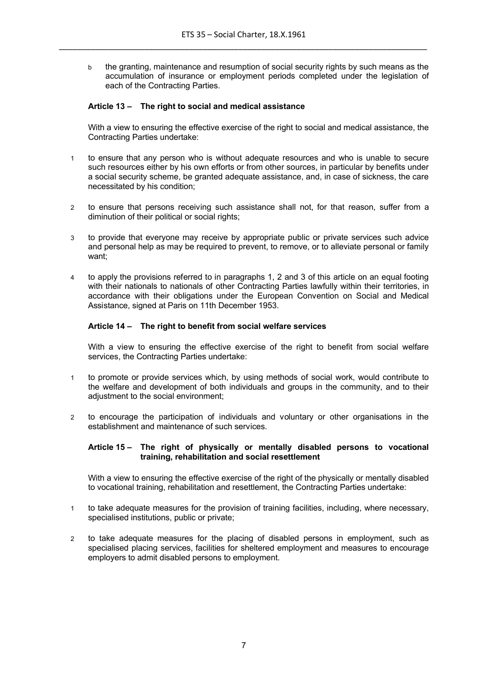b the granting, maintenance and resumption of social security rights by such means as the accumulation of insurance or employment periods completed under the legislation of each of the Contracting Parties.

## **Article 13 – The right to social and medical assistance**

With a view to ensuring the effective exercise of the right to social and medical assistance, the Contracting Parties undertake:

- 1 to ensure that any person who is without adequate resources and who is unable to secure such resources either by his own efforts or from other sources, in particular by benefits under a social security scheme, be granted adequate assistance, and, in case of sickness, the care necessitated by his condition;
- 2 to ensure that persons receiving such assistance shall not, for that reason, suffer from a diminution of their political or social rights;
- 3 to provide that everyone may receive by appropriate public or private services such advice and personal help as may be required to prevent, to remove, or to alleviate personal or family want;
- 4 to apply the provisions referred to in paragraphs 1, 2 and 3 of this article on an equal footing with their nationals to nationals of other Contracting Parties lawfully within their territories, in accordance with their obligations under the European Convention on Social and Medical Assistance, signed at Paris on 11th December 1953.

## **Article 14 – The right to benefit from social welfare services**

With a view to ensuring the effective exercise of the right to benefit from social welfare services, the Contracting Parties undertake:

- 1 to promote or provide services which, by using methods of social work, would contribute to the welfare and development of both individuals and groups in the community, and to their adjustment to the social environment;
- 2 to encourage the participation of individuals and voluntary or other organisations in the establishment and maintenance of such services.

## **Article 15 – The right of physically or mentally disabled persons to vocational training, rehabilitation and social resettlement**

With a view to ensuring the effective exercise of the right of the physically or mentally disabled to vocational training, rehabilitation and resettlement, the Contracting Parties undertake:

- 1 to take adequate measures for the provision of training facilities, including, where necessary, specialised institutions, public or private;
- 2 to take adequate measures for the placing of disabled persons in employment, such as specialised placing services, facilities for sheltered employment and measures to encourage employers to admit disabled persons to employment.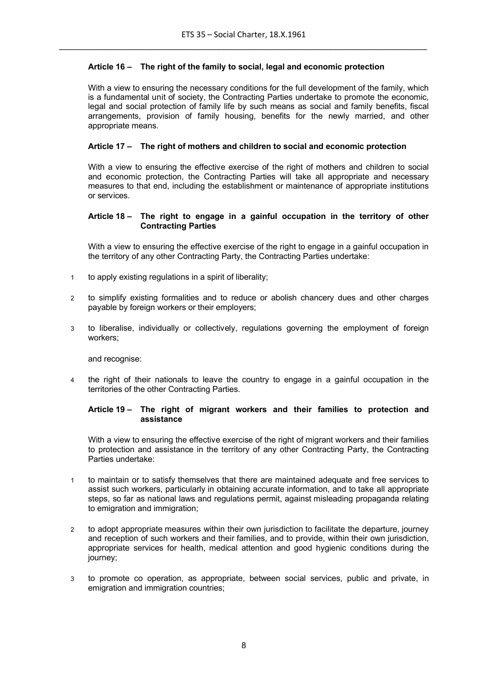## **Article 16 – The right of the family to social, legal and economic protection**

With a view to ensuring the necessary conditions for the full development of the family, which is a fundamental unit of society, the Contracting Parties undertake to promote the economic, legal and social protection of family life by such means as social and family benefits, fiscal arrangements, provision of family housing, benefits for the newly married, and other appropriate means.

## **Article 17 – The right of mothers and children to social and economic protection**

With a view to ensuring the effective exercise of the right of mothers and children to social and economic protection, the Contracting Parties will take all appropriate and necessary measures to that end, including the establishment or maintenance of appropriate institutions or services.

## **Article 18 – The right to engage in a gainful occupation in the territory of other Contracting Parties**

With a view to ensuring the effective exercise of the right to engage in a gainful occupation in the territory of any other Contracting Party, the Contracting Parties undertake:

- 1 to apply existing regulations in a spirit of liberality;
- 2 to simplify existing formalities and to reduce or abolish chancery dues and other charges payable by foreign workers or their employers;
- 3 to liberalise, individually or collectively, regulations governing the employment of foreign workers;

and recognise:

4 the right of their nationals to leave the country to engage in a gainful occupation in the territories of the other Contracting Parties.

## **Article 19 – The right of migrant workers and their families to protection and assistance**

With a view to ensuring the effective exercise of the right of migrant workers and their families to protection and assistance in the territory of any other Contracting Party, the Contracting Parties undertake:

- 1 to maintain or to satisfy themselves that there are maintained adequate and free services to assist such workers, particularly in obtaining accurate information, and to take all appropriate steps, so far as national laws and regulations permit, against misleading propaganda relating to emigration and immigration;
- 2 to adopt appropriate measures within their own jurisdiction to facilitate the departure, journey and reception of such workers and their families, and to provide, within their own jurisdiction, appropriate services for health, medical attention and good hygienic conditions during the journey;
- 3 to promote co operation, as appropriate, between social services, public and private, in emigration and immigration countries;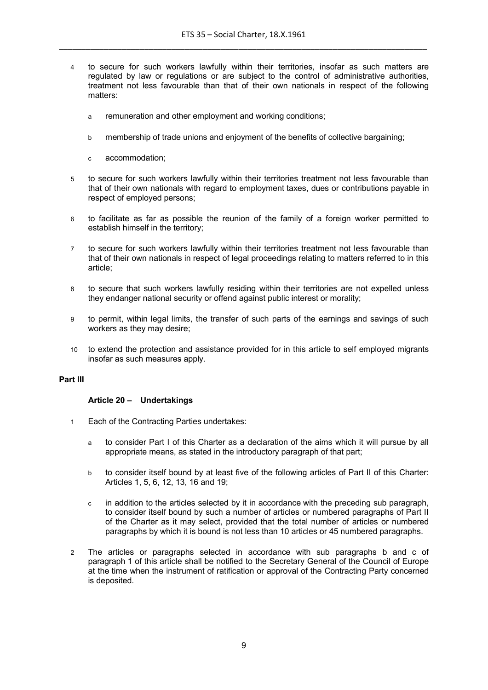- 4 to secure for such workers lawfully within their territories, insofar as such matters are regulated by law or regulations or are subject to the control of administrative authorities, treatment not less favourable than that of their own nationals in respect of the following matters:
	- a remuneration and other employment and working conditions;
	- b membership of trade unions and enjoyment of the benefits of collective bargaining;
	- c accommodation;
- 5 to secure for such workers lawfully within their territories treatment not less favourable than that of their own nationals with regard to employment taxes, dues or contributions payable in respect of employed persons;
- 6 to facilitate as far as possible the reunion of the family of a foreign worker permitted to establish himself in the territory;
- 7 to secure for such workers lawfully within their territories treatment not less favourable than that of their own nationals in respect of legal proceedings relating to matters referred to in this article;
- 8 to secure that such workers lawfully residing within their territories are not expelled unless they endanger national security or offend against public interest or morality;
- 9 to permit, within legal limits, the transfer of such parts of the earnings and savings of such workers as they may desire;
- 10 to extend the protection and assistance provided for in this article to self employed migrants insofar as such measures apply.

## **Part III**

## **Article 20 – Undertakings**

- 1 Each of the Contracting Parties undertakes:
	- a to consider Part I of this Charter as a declaration of the aims which it will pursue by all appropriate means, as stated in the introductory paragraph of that part;
	- b to consider itself bound by at least five of the following articles of Part II of this Charter: Articles 1, 5, 6, 12, 13, 16 and 19;
	- c in addition to the articles selected by it in accordance with the preceding sub paragraph, to consider itself bound by such a number of articles or numbered paragraphs of Part II of the Charter as it may select, provided that the total number of articles or numbered paragraphs by which it is bound is not less than 10 articles or 45 numbered paragraphs.
- 2 The articles or paragraphs selected in accordance with sub paragraphs b and c of paragraph 1 of this article shall be notified to the Secretary General of the Council of Europe at the time when the instrument of ratification or approval of the Contracting Party concerned is deposited.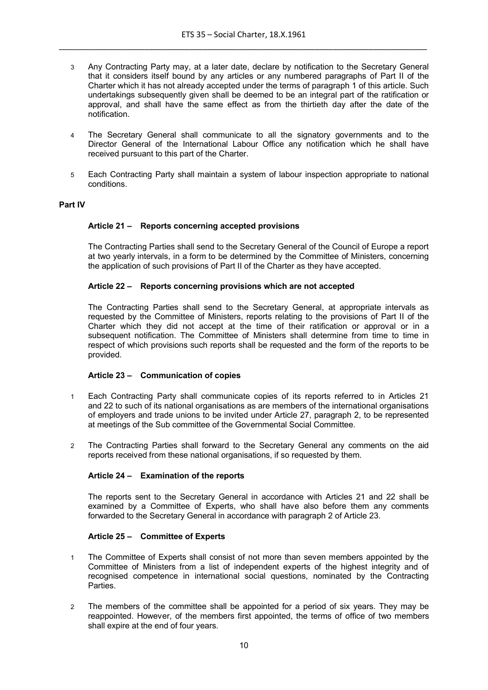- 3 Any Contracting Party may, at a later date, declare by notification to the Secretary General that it considers itself bound by any articles or any numbered paragraphs of Part II of the Charter which it has not already accepted under the terms of paragraph 1 of this article. Such undertakings subsequently given shall be deemed to be an integral part of the ratification or approval, and shall have the same effect as from the thirtieth day after the date of the notification.
- 4 The Secretary General shall communicate to all the signatory governments and to the Director General of the International Labour Office any notification which he shall have received pursuant to this part of the Charter.
- 5 Each Contracting Party shall maintain a system of labour inspection appropriate to national conditions.

## **Part IV**

## **Article 21 – Reports concerning accepted provisions**

The Contracting Parties shall send to the Secretary General of the Council of Europe a report at two yearly intervals, in a form to be determined by the Committee of Ministers, concerning the application of such provisions of Part II of the Charter as they have accepted.

#### **Article 22 – Reports concerning provisions which are not accepted**

The Contracting Parties shall send to the Secretary General, at appropriate intervals as requested by the Committee of Ministers, reports relating to the provisions of Part II of the Charter which they did not accept at the time of their ratification or approval or in a subsequent notification. The Committee of Ministers shall determine from time to time in respect of which provisions such reports shall be requested and the form of the reports to be provided.

#### **Article 23 – Communication of copies**

- 1 Each Contracting Party shall communicate copies of its reports referred to in Articles 21 and 22 to such of its national organisations as are members of the international organisations of employers and trade unions to be invited under Article 27, paragraph 2, to be represented at meetings of the Sub committee of the Governmental Social Committee.
- 2 The Contracting Parties shall forward to the Secretary General any comments on the aid reports received from these national organisations, if so requested by them.

## **Article 24 – Examination of the reports**

The reports sent to the Secretary General in accordance with Articles 21 and 22 shall be examined by a Committee of Experts, who shall have also before them any comments forwarded to the Secretary General in accordance with paragraph 2 of Article 23.

## **Article 25 – Committee of Experts**

- 1 The Committee of Experts shall consist of not more than seven members appointed by the Committee of Ministers from a list of independent experts of the highest integrity and of recognised competence in international social questions, nominated by the Contracting Parties.
- 2 The members of the committee shall be appointed for a period of six years. They may be reappointed. However, of the members first appointed, the terms of office of two members shall expire at the end of four years.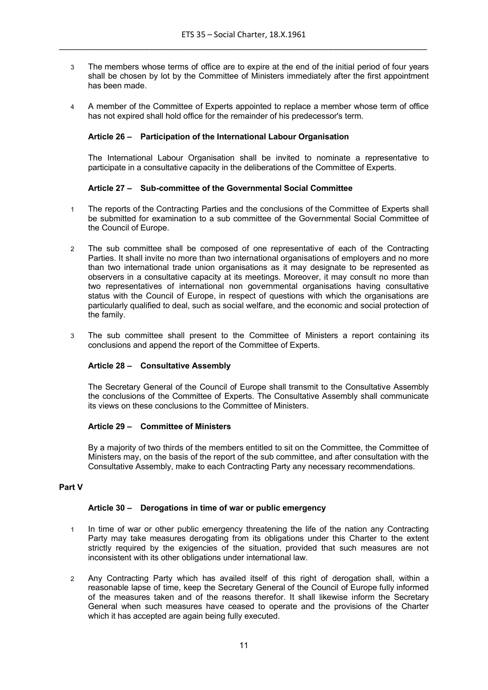- 3 The members whose terms of office are to expire at the end of the initial period of four years shall be chosen by lot by the Committee of Ministers immediately after the first appointment has been made.
- 4 A member of the Committee of Experts appointed to replace a member whose term of office has not expired shall hold office for the remainder of his predecessor's term.

# **Article 26 – Participation of the International Labour Organisation**

The International Labour Organisation shall be invited to nominate a representative to participate in a consultative capacity in the deliberations of the Committee of Experts.

# **Article 27 – Sub-committee of the Governmental Social Committee**

- 1 The reports of the Contracting Parties and the conclusions of the Committee of Experts shall be submitted for examination to a sub committee of the Governmental Social Committee of the Council of Europe.
- 2 The sub committee shall be composed of one representative of each of the Contracting Parties. It shall invite no more than two international organisations of employers and no more than two international trade union organisations as it may designate to be represented as observers in a consultative capacity at its meetings. Moreover, it may consult no more than two representatives of international non governmental organisations having consultative status with the Council of Europe, in respect of questions with which the organisations are particularly qualified to deal, such as social welfare, and the economic and social protection of the family.
- 3 The sub committee shall present to the Committee of Ministers a report containing its conclusions and append the report of the Committee of Experts.

## **Article 28 – Consultative Assembly**

The Secretary General of the Council of Europe shall transmit to the Consultative Assembly the conclusions of the Committee of Experts. The Consultative Assembly shall communicate its views on these conclusions to the Committee of Ministers.

## **Article 29 – Committee of Ministers**

By a majority of two thirds of the members entitled to sit on the Committee, the Committee of Ministers may, on the basis of the report of the sub committee, and after consultation with the Consultative Assembly, make to each Contracting Party any necessary recommendations.

## **Part V**

## **Article 30 – Derogations in time of war or public emergency**

- 1 In time of war or other public emergency threatening the life of the nation any Contracting Party may take measures derogating from its obligations under this Charter to the extent strictly required by the exigencies of the situation, provided that such measures are not inconsistent with its other obligations under international law.
- 2 Any Contracting Party which has availed itself of this right of derogation shall, within a reasonable lapse of time, keep the Secretary General of the Council of Europe fully informed of the measures taken and of the reasons therefor. It shall likewise inform the Secretary General when such measures have ceased to operate and the provisions of the Charter which it has accepted are again being fully executed.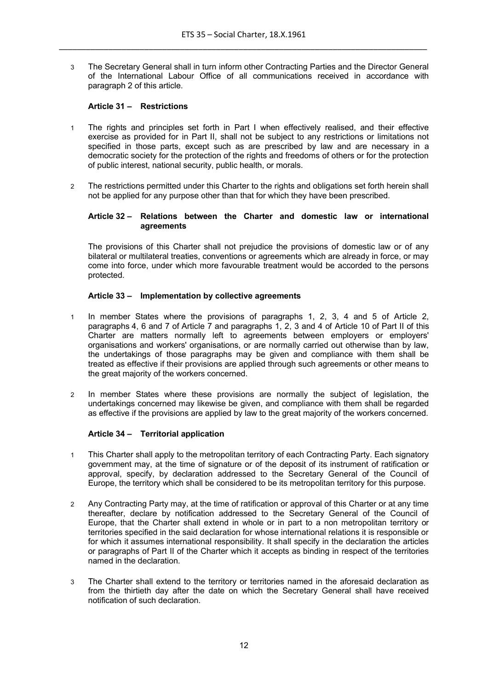3 The Secretary General shall in turn inform other Contracting Parties and the Director General of the International Labour Office of all communications received in accordance with paragraph 2 of this article.

## **Article 31 – Restrictions**

- 1 The rights and principles set forth in Part I when effectively realised, and their effective exercise as provided for in Part II, shall not be subject to any restrictions or limitations not specified in those parts, except such as are prescribed by law and are necessary in a democratic society for the protection of the rights and freedoms of others or for the protection of public interest, national security, public health, or morals.
- 2 The restrictions permitted under this Charter to the rights and obligations set forth herein shall not be applied for any purpose other than that for which they have been prescribed.

## **Article 32 – Relations between the Charter and domestic law or international agreements**

The provisions of this Charter shall not prejudice the provisions of domestic law or of any bilateral or multilateral treaties, conventions or agreements which are already in force, or may come into force, under which more favourable treatment would be accorded to the persons protected.

## **Article 33 – Implementation by collective agreements**

- 1 In member States where the provisions of paragraphs 1, 2, 3, 4 and 5 of Article 2, paragraphs 4, 6 and 7 of Article 7 and paragraphs 1, 2, 3 and 4 of Article 10 of Part II of this Charter are matters normally left to agreements between employers or employers' organisations and workers' organisations, or are normally carried out otherwise than by law, the undertakings of those paragraphs may be given and compliance with them shall be treated as effective if their provisions are applied through such agreements or other means to the great majority of the workers concerned.
- 2 In member States where these provisions are normally the subject of legislation, the undertakings concerned may likewise be given, and compliance with them shall be regarded as effective if the provisions are applied by law to the great majority of the workers concerned.

## **Article 34 – Territorial application**

- 1 This Charter shall apply to the metropolitan territory of each Contracting Party. Each signatory government may, at the time of signature or of the deposit of its instrument of ratification or approval, specify, by declaration addressed to the Secretary General of the Council of Europe, the territory which shall be considered to be its metropolitan territory for this purpose.
- 2 Any Contracting Party may, at the time of ratification or approval of this Charter or at any time thereafter, declare by notification addressed to the Secretary General of the Council of Europe, that the Charter shall extend in whole or in part to a non metropolitan territory or territories specified in the said declaration for whose international relations it is responsible or for which it assumes international responsibility. It shall specify in the declaration the articles or paragraphs of Part II of the Charter which it accepts as binding in respect of the territories named in the declaration.
- 3 The Charter shall extend to the territory or territories named in the aforesaid declaration as from the thirtieth day after the date on which the Secretary General shall have received notification of such declaration.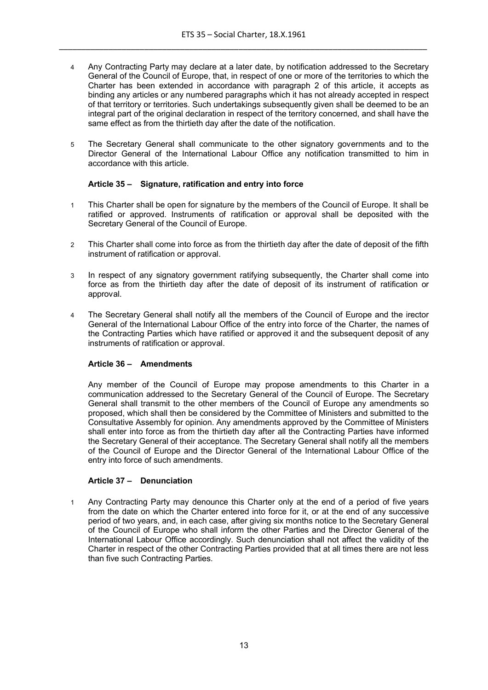- 4 Any Contracting Party may declare at a later date, by notification addressed to the Secretary General of the Council of Europe, that, in respect of one or more of the territories to which the Charter has been extended in accordance with paragraph 2 of this article, it accepts as binding any articles or any numbered paragraphs which it has not already accepted in respect of that territory or territories. Such undertakings subsequently given shall be deemed to be an integral part of the original declaration in respect of the territory concerned, and shall have the same effect as from the thirtieth day after the date of the notification.
- 5 The Secretary General shall communicate to the other signatory governments and to the Director General of the International Labour Office any notification transmitted to him in accordance with this article.

# **Article 35 – Signature, ratification and entry into force**

- 1 This Charter shall be open for signature by the members of the Council of Europe. It shall be ratified or approved. Instruments of ratification or approval shall be deposited with the Secretary General of the Council of Europe.
- 2 This Charter shall come into force as from the thirtieth day after the date of deposit of the fifth instrument of ratification or approval.
- 3 In respect of any signatory government ratifying subsequently, the Charter shall come into force as from the thirtieth day after the date of deposit of its instrument of ratification or approval.
- 4 The Secretary General shall notify all the members of the Council of Europe and the irector General of the International Labour Office of the entry into force of the Charter, the names of the Contracting Parties which have ratified or approved it and the subsequent deposit of any instruments of ratification or approval.

## **Article 36 – Amendments**

Any member of the Council of Europe may propose amendments to this Charter in a communication addressed to the Secretary General of the Council of Europe. The Secretary General shall transmit to the other members of the Council of Europe any amendments so proposed, which shall then be considered by the Committee of Ministers and submitted to the Consultative Assembly for opinion. Any amendments approved by the Committee of Ministers shall enter into force as from the thirtieth day after all the Contracting Parties have informed the Secretary General of their acceptance. The Secretary General shall notify all the members of the Council of Europe and the Director General of the International Labour Office of the entry into force of such amendments.

## **Article 37 – Denunciation**

1 Any Contracting Party may denounce this Charter only at the end of a period of five years from the date on which the Charter entered into force for it, or at the end of any successive period of two years, and, in each case, after giving six months notice to the Secretary General of the Council of Europe who shall inform the other Parties and the Director General of the International Labour Office accordingly. Such denunciation shall not affect the validity of the Charter in respect of the other Contracting Parties provided that at all times there are not less than five such Contracting Parties.